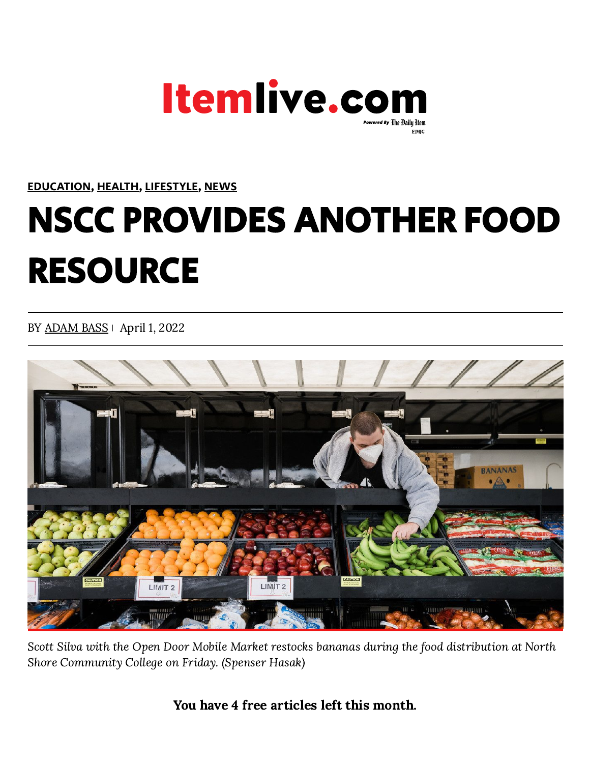

## [EDUCATION](https://www.itemlive.com/category/education), [HEALTH](https://www.itemlive.com/category/health), [LIFESTYLE](https://www.itemlive.com/category/lifestyle), [NEWS](https://www.itemlive.com/category/news)

## NSCC PROVIDES ANOTHER FOOD RESOURCE

BY [ADAM](https://www.itemlive.com/author/adamitemlive-com/) BASS | April 1, 2022



Scott Silva with the Open Door Mobile Market restocks bananas during the food distribution at North Shore Community College on Friday. (Spenser Hasak)

You have 4 free articles left this month.